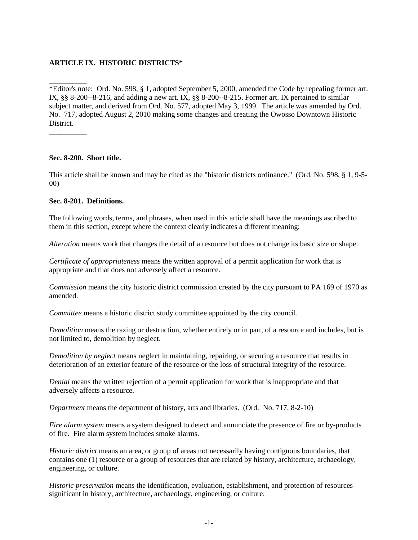# **ARTICLE IX. HISTORIC DISTRICTS\***

\*Editor's note: Ord. No. 598, § 1, adopted September 5, 2000, amended the Code by repealing former art. IX, §§ 8-200--8-216, and adding a new art. IX, §§ 8-200--8-215. Former art. IX pertained to similar subject matter, and derived from Ord. No. 577, adopted May 3, 1999. The article was amended by Ord. No. 717, adopted August 2, 2010 making some changes and creating the Owosso Downtown Historic District.

**Sec. 8-200. Short title.**

\_\_\_\_\_\_\_\_\_\_

\_\_\_\_\_\_\_\_\_\_

This article shall be known and may be cited as the "historic districts ordinance." (Ord. No. 598, § 1, 9-5- 00)

#### **Sec. 8-201. Definitions.**

The following words, terms, and phrases, when used in this article shall have the meanings ascribed to them in this section, except where the context clearly indicates a different meaning:

*Alteration* means work that changes the detail of a resource but does not change its basic size or shape.

*Certificate of appropriateness* means the written approval of a permit application for work that is appropriate and that does not adversely affect a resource.

*Commission* means the city historic district commission created by the city pursuant to PA 169 of 1970 as amended.

*Committee* means a historic district study committee appointed by the city council.

*Demolition* means the razing or destruction, whether entirely or in part, of a resource and includes, but is not limited to, demolition by neglect.

*Demolition by neglect* means neglect in maintaining, repairing, or securing a resource that results in deterioration of an exterior feature of the resource or the loss of structural integrity of the resource.

*Denial* means the written rejection of a permit application for work that is inappropriate and that adversely affects a resource.

*Department* means the department of history, arts and libraries. (Ord. No. 717, 8-2-10)

*Fire alarm system* means a system designed to detect and annunciate the presence of fire or by-products of fire. Fire alarm system includes smoke alarms.

*Historic district* means an area, or group of areas not necessarily having contiguous boundaries, that contains one (1) resource or a group of resources that are related by history, architecture, archaeology, engineering, or culture.

*Historic preservation* means the identification, evaluation, establishment, and protection of resources significant in history, architecture, archaeology, engineering, or culture.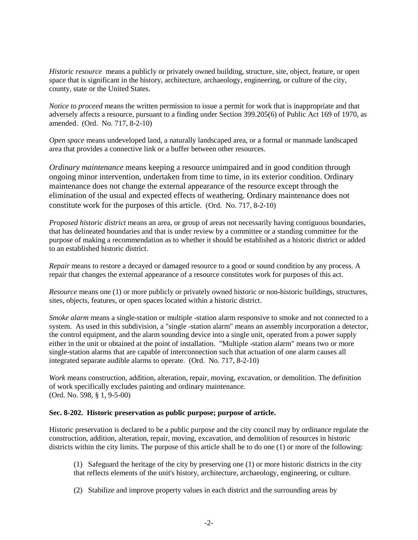*Historic resource* means a publicly or privately owned building, structure, site, object, feature, or open space that is significant in the history, architecture, archaeology, engineering, or culture of the city, county, state or the United States.

*Notice to proceed* means the written permission to issue a permit for work that is inappropriate and that adversely affects a resource, pursuant to a finding under Section 399.205(6) of Public Act 169 of 1970, as amended. (Ord. No. 717, 8-2-10)

*Open space* means undeveloped land, a naturally landscaped area, or a formal or manmade landscaped area that provides a connective link or a buffer between other resources.

*Ordinary maintenance* means keeping a resource unimpaired and in good condition through ongoing minor intervention, undertaken from time to time, in its exterior condition. Ordinary maintenance does not change the external appearance of the resource except through the elimination of the usual and expected effects of weathering. Ordinary maintenance does not constitute work for the purposes of this article. (Ord. No. 717, 8-2-10)

*Proposed historic district* means an area, or group of areas not necessarily having contiguous boundaries, that has delineated boundaries and that is under review by a committee or a standing committee for the purpose of making a recommendation as to whether it should be established as a historic district or added to an established historic district.

*Repair* means to restore a decayed or damaged resource to a good or sound condition by any process. A repair that changes the external appearance of a resource constitutes work for purposes of this act.

*Resource* means one (1) or more publicly or privately owned historic or non-historic buildings, structures, sites, objects, features, or open spaces located within a historic district.

*Smoke alarm* means a single-station or multiple -station alarm responsive to smoke and not connected to a system. As used in this subdivision, a "single -station alarm" means an assembly incorporation a detector, the control equipment, and the alarm sounding device into a single unit, operated from a power supply either in the unit or obtained at the point of installation. "Multiple -station alarm" means two or more single-station alarms that are capable of interconnection such that actuation of one alarm causes all integrated separate audible alarms to operate. (Ord. No. 717, 8-2-10)

*Work* means construction, addition, alteration, repair, moving, excavation, or demolition. The definition of work specifically excludes painting and ordinary maintenance. (Ord. No. 598, § 1, 9-5-00)

#### **Sec. 8-202. Historic preservation as public purpose; purpose of article.**

Historic preservation is declared to be a public purpose and the city council may by ordinance regulate the construction, addition, alteration, repair, moving, excavation, and demolition of resources in historic districts within the city limits. The purpose of this article shall be to do one (1) or more of the following:

- (1) Safeguard the heritage of the city by preserving one (1) or more historic districts in the city that reflects elements of the unit's history, architecture, archaeology, engineering, or culture.
- (2) Stabilize and improve property values in each district and the surrounding areas by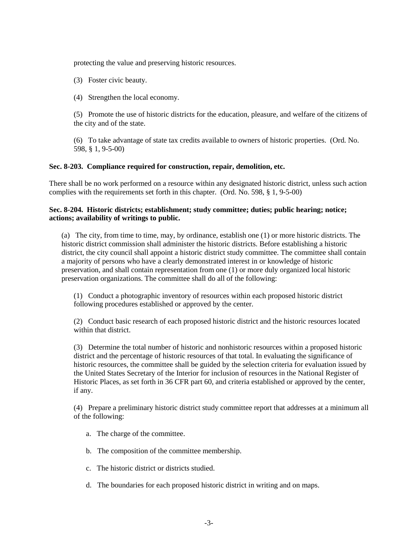protecting the value and preserving historic resources.

- (3) Foster civic beauty.
- (4) Strengthen the local economy.

(5) Promote the use of historic districts for the education, pleasure, and welfare of the citizens of the city and of the state.

(6) To take advantage of state tax credits available to owners of historic properties. (Ord. No. 598, § 1, 9-5-00)

#### **Sec. 8-203. Compliance required for construction, repair, demolition, etc.**

There shall be no work performed on a resource within any designated historic district, unless such action complies with the requirements set forth in this chapter. (Ord. No. 598, § 1, 9-5-00)

#### **Sec. 8-204. Historic districts; establishment; study committee; duties; public hearing; notice; actions; availability of writings to public.**

(a) The city, from time to time, may, by ordinance, establish one (1) or more historic districts. The historic district commission shall administer the historic districts. Before establishing a historic district, the city council shall appoint a historic district study committee. The committee shall contain a majority of persons who have a clearly demonstrated interest in or knowledge of historic preservation, and shall contain representation from one (1) or more duly organized local historic preservation organizations. The committee shall do all of the following:

(1) Conduct a photographic inventory of resources within each proposed historic district following procedures established or approved by the center.

(2) Conduct basic research of each proposed historic district and the historic resources located within that district.

(3) Determine the total number of historic and nonhistoric resources within a proposed historic district and the percentage of historic resources of that total. In evaluating the significance of historic resources, the committee shall be guided by the selection criteria for evaluation issued by the United States Secretary of the Interior for inclusion of resources in the National Register of Historic Places, as set forth in 36 CFR part 60, and criteria established or approved by the center, if any.

(4) Prepare a preliminary historic district study committee report that addresses at a minimum all of the following:

- a. The charge of the committee.
- b. The composition of the committee membership.
- c. The historic district or districts studied.
- d. The boundaries for each proposed historic district in writing and on maps.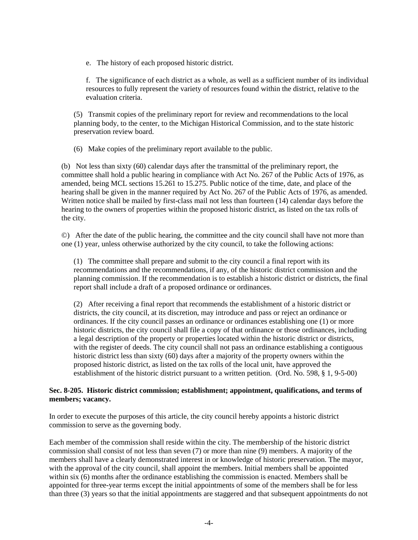e. The history of each proposed historic district.

f. The significance of each district as a whole, as well as a sufficient number of its individual resources to fully represent the variety of resources found within the district, relative to the evaluation criteria.

(5) Transmit copies of the preliminary report for review and recommendations to the local planning body, to the center, to the Michigan Historical Commission, and to the state historic preservation review board.

(6) Make copies of the preliminary report available to the public.

(b) Not less than sixty (60) calendar days after the transmittal of the preliminary report, the committee shall hold a public hearing in compliance with Act No. 267 of the Public Acts of 1976, as amended, being MCL sections 15.261 to 15.275. Public notice of the time, date, and place of the hearing shall be given in the manner required by Act No. 267 of the Public Acts of 1976, as amended. Written notice shall be mailed by first-class mail not less than fourteen (14) calendar days before the hearing to the owners of properties within the proposed historic district, as listed on the tax rolls of the city.

©) After the date of the public hearing, the committee and the city council shall have not more than one (1) year, unless otherwise authorized by the city council, to take the following actions:

(1) The committee shall prepare and submit to the city council a final report with its recommendations and the recommendations, if any, of the historic district commission and the planning commission. If the recommendation is to establish a historic district or districts, the final report shall include a draft of a proposed ordinance or ordinances.

(2) After receiving a final report that recommends the establishment of a historic district or districts, the city council, at its discretion, may introduce and pass or reject an ordinance or ordinances. If the city council passes an ordinance or ordinances establishing one (1) or more historic districts, the city council shall file a copy of that ordinance or those ordinances, including a legal description of the property or properties located within the historic district or districts, with the register of deeds. The city council shall not pass an ordinance establishing a contiguous historic district less than sixty (60) days after a majority of the property owners within the proposed historic district, as listed on the tax rolls of the local unit, have approved the establishment of the historic district pursuant to a written petition. (Ord. No. 598, § 1, 9-5-00)

# **Sec. 8-205. Historic district commission; establishment; appointment, qualifications, and terms of members; vacancy.**

In order to execute the purposes of this article, the city council hereby appoints a historic district commission to serve as the governing body.

Each member of the commission shall reside within the city. The membership of the historic district commission shall consist of not less than seven (7) or more than nine (9) members. A majority of the members shall have a clearly demonstrated interest in or knowledge of historic preservation. The mayor, with the approval of the city council, shall appoint the members. Initial members shall be appointed within six (6) months after the ordinance establishing the commission is enacted. Members shall be appointed for three-year terms except the initial appointments of some of the members shall be for less than three (3) years so that the initial appointments are staggered and that subsequent appointments do not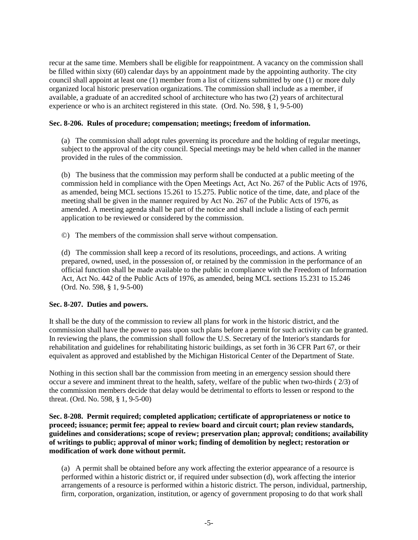recur at the same time. Members shall be eligible for reappointment. A vacancy on the commission shall be filled within sixty (60) calendar days by an appointment made by the appointing authority. The city council shall appoint at least one (1) member from a list of citizens submitted by one (1) or more duly organized local historic preservation organizations. The commission shall include as a member, if available, a graduate of an accredited school of architecture who has two (2) years of architectural experience or who is an architect registered in this state. (Ord. No. 598, § 1, 9-5-00)

# **Sec. 8-206. Rules of procedure; compensation; meetings; freedom of information.**

(a) The commission shall adopt rules governing its procedure and the holding of regular meetings, subject to the approval of the city council. Special meetings may be held when called in the manner provided in the rules of the commission.

(b) The business that the commission may perform shall be conducted at a public meeting of the commission held in compliance with the Open Meetings Act, Act No. 267 of the Public Acts of 1976, as amended, being MCL sections 15.261 to 15.275. Public notice of the time, date, and place of the meeting shall be given in the manner required by Act No. 267 of the Public Acts of 1976, as amended. A meeting agenda shall be part of the notice and shall include a listing of each permit application to be reviewed or considered by the commission.

©) The members of the commission shall serve without compensation.

(d) The commission shall keep a record of its resolutions, proceedings, and actions. A writing prepared, owned, used, in the possession of, or retained by the commission in the performance of an official function shall be made available to the public in compliance with the Freedom of Information Act, Act No. 442 of the Public Acts of 1976, as amended, being MCL sections 15.231 to 15.246 (Ord. No. 598, § 1, 9-5-00)

### **Sec. 8-207. Duties and powers.**

It shall be the duty of the commission to review all plans for work in the historic district, and the commission shall have the power to pass upon such plans before a permit for such activity can be granted. In reviewing the plans, the commission shall follow the U.S. Secretary of the Interior's standards for rehabilitation and guidelines for rehabilitating historic buildings, as set forth in 36 CFR Part 67, or their equivalent as approved and established by the Michigan Historical Center of the Department of State.

Nothing in this section shall bar the commission from meeting in an emergency session should there occur a severe and imminent threat to the health, safety, welfare of the public when two-thirds ( 2/3) of the commission members decide that delay would be detrimental to efforts to lessen or respond to the threat. (Ord. No. 598, § 1, 9-5-00)

**Sec. 8-208. Permit required; completed application; certificate of appropriateness or notice to proceed; issuance; permit fee; appeal to review board and circuit court; plan review standards, guidelines and considerations; scope of review; preservation plan; approval; conditions; availability of writings to public; approval of minor work; finding of demolition by neglect; restoration or modification of work done without permit.**

(a) A permit shall be obtained before any work affecting the exterior appearance of a resource is performed within a historic district or, if required under subsection (d), work affecting the interior arrangements of a resource is performed within a historic district. The person, individual, partnership, firm, corporation, organization, institution, or agency of government proposing to do that work shall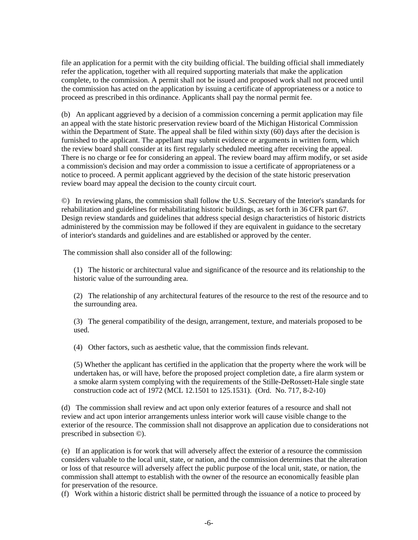file an application for a permit with the city building official. The building official shall immediately refer the application, together with all required supporting materials that make the application complete, to the commission. A permit shall not be issued and proposed work shall not proceed until the commission has acted on the application by issuing a certificate of appropriateness or a notice to proceed as prescribed in this ordinance. Applicants shall pay the normal permit fee.

(b) An applicant aggrieved by a decision of a commission concerning a permit application may file an appeal with the state historic preservation review board of the Michigan Historical Commission within the Department of State. The appeal shall be filed within sixty (60) days after the decision is furnished to the applicant. The appellant may submit evidence or arguments in written form, which the review board shall consider at its first regularly scheduled meeting after receiving the appeal. There is no charge or fee for considering an appeal. The review board may affirm modify, or set aside a commission's decision and may order a commission to issue a certificate of appropriateness or a notice to proceed. A permit applicant aggrieved by the decision of the state historic preservation review board may appeal the decision to the county circuit court.

©) In reviewing plans, the commission shall follow the U.S. Secretary of the Interior's standards for rehabilitation and guidelines for rehabilitating historic buildings, as set forth in 36 CFR part 67. Design review standards and guidelines that address special design characteristics of historic districts administered by the commission may be followed if they are equivalent in guidance to the secretary of interior's standards and guidelines and are established or approved by the center.

The commission shall also consider all of the following:

(1) The historic or architectural value and significance of the resource and its relationship to the historic value of the surrounding area.

(2) The relationship of any architectural features of the resource to the rest of the resource and to the surrounding area.

(3) The general compatibility of the design, arrangement, texture, and materials proposed to be used.

(4) Other factors, such as aesthetic value, that the commission finds relevant.

(5) Whether the applicant has certified in the application that the property where the work will be undertaken has, or will have, before the proposed project completion date, a fire alarm system or a smoke alarm system complying with the requirements of the Stille-DeRossett-Hale single state construction code act of 1972 (MCL 12.1501 to 125.1531). (Ord. No. 717, 8-2-10)

(d) The commission shall review and act upon only exterior features of a resource and shall not review and act upon interior arrangements unless interior work will cause visible change to the exterior of the resource. The commission shall not disapprove an application due to considerations not prescribed in subsection ©).

(e) If an application is for work that will adversely affect the exterior of a resource the commission considers valuable to the local unit, state, or nation, and the commission determines that the alteration or loss of that resource will adversely affect the public purpose of the local unit, state, or nation, the commission shall attempt to establish with the owner of the resource an economically feasible plan for preservation of the resource.

(f) Work within a historic district shall be permitted through the issuance of a notice to proceed by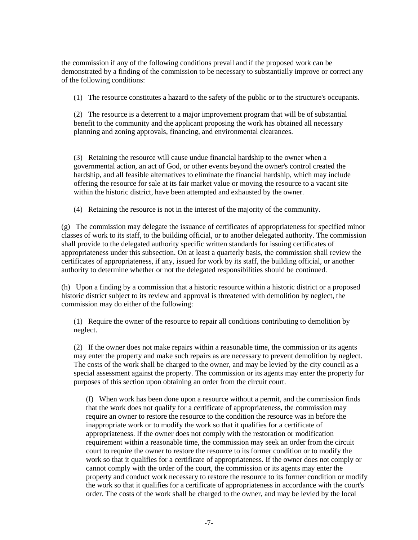the commission if any of the following conditions prevail and if the proposed work can be demonstrated by a finding of the commission to be necessary to substantially improve or correct any of the following conditions:

(1) The resource constitutes a hazard to the safety of the public or to the structure's occupants.

(2) The resource is a deterrent to a major improvement program that will be of substantial benefit to the community and the applicant proposing the work has obtained all necessary planning and zoning approvals, financing, and environmental clearances.

(3) Retaining the resource will cause undue financial hardship to the owner when a governmental action, an act of God, or other events beyond the owner's control created the hardship, and all feasible alternatives to eliminate the financial hardship, which may include offering the resource for sale at its fair market value or moving the resource to a vacant site within the historic district, have been attempted and exhausted by the owner.

(4) Retaining the resource is not in the interest of the majority of the community.

(g) The commission may delegate the issuance of certificates of appropriateness for specified minor classes of work to its staff, to the building official, or to another delegated authority. The commission shall provide to the delegated authority specific written standards for issuing certificates of appropriateness under this subsection. On at least a quarterly basis, the commission shall review the certificates of appropriateness, if any, issued for work by its staff, the building official, or another authority to determine whether or not the delegated responsibilities should be continued.

(h) Upon a finding by a commission that a historic resource within a historic district or a proposed historic district subject to its review and approval is threatened with demolition by neglect, the commission may do either of the following:

(1) Require the owner of the resource to repair all conditions contributing to demolition by neglect.

(2) If the owner does not make repairs within a reasonable time, the commission or its agents may enter the property and make such repairs as are necessary to prevent demolition by neglect. The costs of the work shall be charged to the owner, and may be levied by the city council as a special assessment against the property. The commission or its agents may enter the property for purposes of this section upon obtaining an order from the circuit court.

(I) When work has been done upon a resource without a permit, and the commission finds that the work does not qualify for a certificate of appropriateness, the commission may require an owner to restore the resource to the condition the resource was in before the inappropriate work or to modify the work so that it qualifies for a certificate of appropriateness. If the owner does not comply with the restoration or modification requirement within a reasonable time, the commission may seek an order from the circuit court to require the owner to restore the resource to its former condition or to modify the work so that it qualifies for a certificate of appropriateness. If the owner does not comply or cannot comply with the order of the court, the commission or its agents may enter the property and conduct work necessary to restore the resource to its former condition or modify the work so that it qualifies for a certificate of appropriateness in accordance with the court's order. The costs of the work shall be charged to the owner, and may be levied by the local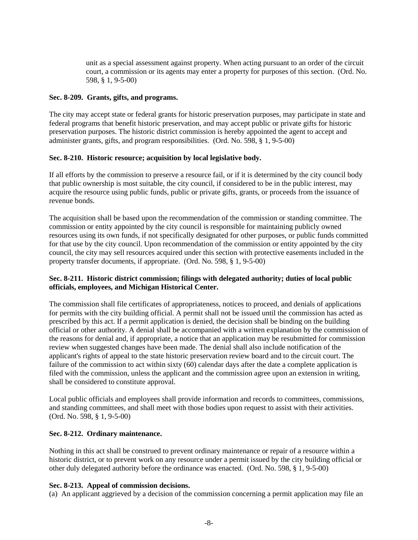unit as a special assessment against property. When acting pursuant to an order of the circuit court, a commission or its agents may enter a property for purposes of this section. (Ord. No. 598, § 1, 9-5-00)

# **Sec. 8-209. Grants, gifts, and programs.**

The city may accept state or federal grants for historic preservation purposes, may participate in state and federal programs that benefit historic preservation, and may accept public or private gifts for historic preservation purposes. The historic district commission is hereby appointed the agent to accept and administer grants, gifts, and program responsibilities. (Ord. No. 598, § 1, 9-5-00)

# **Sec. 8-210. Historic resource; acquisition by local legislative body.**

If all efforts by the commission to preserve a resource fail, or if it is determined by the city council body that public ownership is most suitable, the city council, if considered to be in the public interest, may acquire the resource using public funds, public or private gifts, grants, or proceeds from the issuance of revenue bonds.

The acquisition shall be based upon the recommendation of the commission or standing committee. The commission or entity appointed by the city council is responsible for maintaining publicly owned resources using its own funds, if not specifically designated for other purposes, or public funds committed for that use by the city council. Upon recommendation of the commission or entity appointed by the city council, the city may sell resources acquired under this section with protective easements included in the property transfer documents, if appropriate. (Ord. No. 598, § 1, 9-5-00)

# **Sec. 8-211. Historic district commission; filings with delegated authority; duties of local public officials, employees, and Michigan Historical Center.**

The commission shall file certificates of appropriateness, notices to proceed, and denials of applications for permits with the city building official. A permit shall not be issued until the commission has acted as prescribed by this act. If a permit application is denied, the decision shall be binding on the building official or other authority. A denial shall be accompanied with a written explanation by the commission of the reasons for denial and, if appropriate, a notice that an application may be resubmitted for commission review when suggested changes have been made. The denial shall also include notification of the applicant's rights of appeal to the state historic preservation review board and to the circuit court. The failure of the commission to act within sixty (60) calendar days after the date a complete application is filed with the commission, unless the applicant and the commission agree upon an extension in writing, shall be considered to constitute approval.

Local public officials and employees shall provide information and records to committees, commissions, and standing committees, and shall meet with those bodies upon request to assist with their activities. (Ord. No. 598, § 1, 9-5-00)

### **Sec. 8-212. Ordinary maintenance.**

Nothing in this act shall be construed to prevent ordinary maintenance or repair of a resource within a historic district, or to prevent work on any resource under a permit issued by the city building official or other duly delegated authority before the ordinance was enacted. (Ord. No. 598, § 1, 9-5-00)

### **Sec. 8-213. Appeal of commission decisions.**

(a) An applicant aggrieved by a decision of the commission concerning a permit application may file an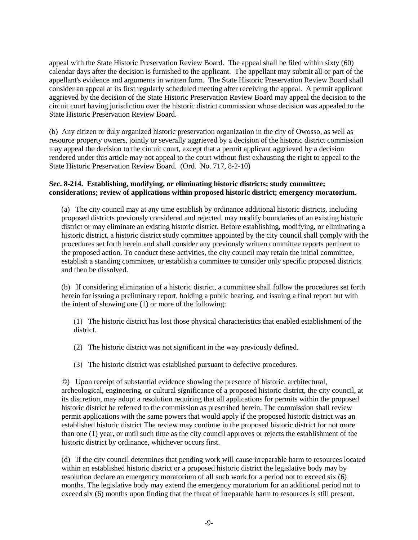appeal with the State Historic Preservation Review Board. The appeal shall be filed within sixty (60) calendar days after the decision is furnished to the applicant. The appellant may submit all or part of the appellant's evidence and arguments in written form. The State Historic Preservation Review Board shall consider an appeal at its first regularly scheduled meeting after receiving the appeal. A permit applicant aggrieved by the decision of the State Historic Preservation Review Board may appeal the decision to the circuit court having jurisdiction over the historic district commission whose decision was appealed to the State Historic Preservation Review Board.

(b) Any citizen or duly organized historic preservation organization in the city of Owosso, as well as resource property owners, jointly or severally aggrieved by a decision of the historic district commission may appeal the decision to the circuit court, except that a permit applicant aggrieved by a decision rendered under this article may not appeal to the court without first exhausting the right to appeal to the State Historic Preservation Review Board. (Ord. No. 717, 8-2-10)

### **Sec. 8-214. Establishing, modifying, or eliminating historic districts; study committee; considerations; review of applications within proposed historic district; emergency moratorium.**

(a) The city council may at any time establish by ordinance additional historic districts, including proposed districts previously considered and rejected, may modify boundaries of an existing historic district or may eliminate an existing historic district. Before establishing, modifying, or eliminating a historic district, a historic district study committee appointed by the city council shall comply with the procedures set forth herein and shall consider any previously written committee reports pertinent to the proposed action. To conduct these activities, the city council may retain the initial committee, establish a standing committee, or establish a committee to consider only specific proposed districts and then be dissolved.

(b) If considering elimination of a historic district, a committee shall follow the procedures set forth herein for issuing a preliminary report, holding a public hearing, and issuing a final report but with the intent of showing one (1) or more of the following:

(1) The historic district has lost those physical characteristics that enabled establishment of the district.

- (2) The historic district was not significant in the way previously defined.
- (3) The historic district was established pursuant to defective procedures.

©) Upon receipt of substantial evidence showing the presence of historic, architectural, archeological, engineering, or cultural significance of a proposed historic district, the city council, at its discretion, may adopt a resolution requiring that all applications for permits within the proposed historic district be referred to the commission as prescribed herein. The commission shall review permit applications with the same powers that would apply if the proposed historic district was an established historic district The review may continue in the proposed historic district for not more than one (1) year, or until such time as the city council approves or rejects the establishment of the historic district by ordinance, whichever occurs first.

(d) If the city council determines that pending work will cause irreparable harm to resources located within an established historic district or a proposed historic district the legislative body may by resolution declare an emergency moratorium of all such work for a period not to exceed six (6) months. The legislative body may extend the emergency moratorium for an additional period not to exceed six (6) months upon finding that the threat of irreparable harm to resources is still present.